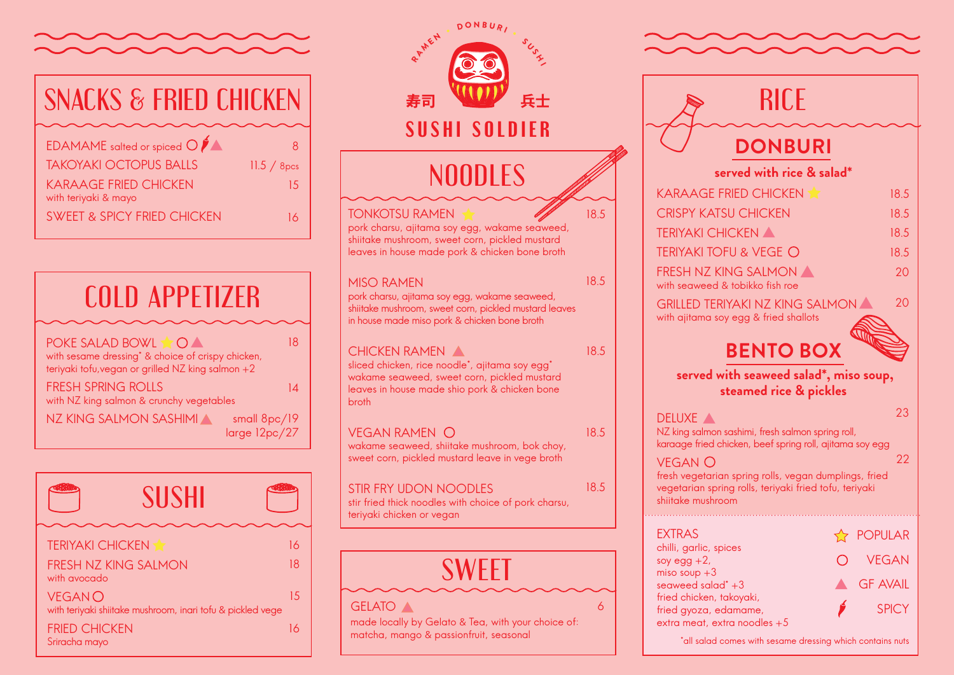

| <b>SNACKS &amp; FRIED CHICKEN</b>                    |             |
|------------------------------------------------------|-------------|
| EDAMAME salted or spiced O                           | 8           |
| <b>TAKOYAKI OCTOPUS BALLS</b>                        | 11.5 / 8pcs |
| <b>KARAAGE FRIED CHICKEN</b><br>with teriyaki & mayo | 15          |
| <b>SWEET &amp; SPICY FRIED CHICKEN</b>               | 16          |



|                                             | SUSHI                                                      |    |
|---------------------------------------------|------------------------------------------------------------|----|
| <b>TERIYAKI CHICKEN</b>                     |                                                            | 16 |
| <b>FRESH NZ KING SALMON</b><br>with avocado |                                                            | 18 |
| <b>VEGANO</b>                               | with teriyaki shiitake mushroom, inari tofu & pickled vege | 15 |
| <b>FRIED CHICKEN</b><br>Sriracha mayo       |                                                            | 16 |

| N                  | DONBUR,<br>RAMEN<br>SUSSITI<br>寿司<br>兵士                                                                                                                                         |      |
|--------------------|---------------------------------------------------------------------------------------------------------------------------------------------------------------------------------|------|
| 8                  | <b>SUSHI SOLDIER</b>                                                                                                                                                            |      |
| $_{\rm 0CS}$<br>15 | NOODLES                                                                                                                                                                         |      |
| 16                 | <b>TONKOTSU RAMEN</b><br>pork charsu, ajitama soy egg, wakame seaweed,<br>shiitake mushroom, sweet corn, pickled mustard<br>leaves in house made pork & chicken bone broth      | 18.5 |
|                    | <b>MISO RAMEN</b><br>pork charsu, ajitama soy egg, wakame seaweed,<br>shiitake mushroom, sweet corn, pickled mustard leaves<br>in house made miso pork & chicken bone broth     | 18.5 |
| 18<br> 4           | <b>CHICKEN RAMEN</b><br>sliced chicken, rice noodle*, ajitama soy egg*<br>wakame seaweed, sweet corn, pickled mustard<br>leaves in house made shio pork & chicken bone<br>broth | 18.5 |
| 9<br>27            | <b>VEGAN RAMEN O</b><br>wakame seaweed, shiitake mushroom, bok choy,<br>sweet corn, pickled mustard leave in vege broth                                                         | 18.5 |
|                    | <b>STIR FRY UDON NOODLES</b><br>stir fried thick noodles with choice of pork charsu,<br>teriyaki chicken or vegan                                                               | 18.5 |
| 16                 |                                                                                                                                                                                 |      |
| 18                 | <b>SWEET</b>                                                                                                                                                                    |      |
| 15<br>16           | <b>GELATO</b><br>made locally by Gelato & Tea, with your choice of:<br>matcha, mango & passionfruit, seasonal                                                                   | 6    |

| RICE                                                                                                                                                                                                                                                                                            |
|-------------------------------------------------------------------------------------------------------------------------------------------------------------------------------------------------------------------------------------------------------------------------------------------------|
| <b>DONBURI</b>                                                                                                                                                                                                                                                                                  |
| served with rice & salad*                                                                                                                                                                                                                                                                       |
| <b>KARAAGE FRIED CHICKEN</b><br>18.5                                                                                                                                                                                                                                                            |
| <b>CRISPY KATSU CHICKEN</b><br>18.5                                                                                                                                                                                                                                                             |
| <b>TERIYAKI CHICKEN</b><br>18.5                                                                                                                                                                                                                                                                 |
| <b>TERIYAKI TOFU &amp; VEGE O</b><br>18.5                                                                                                                                                                                                                                                       |
| <b>FRESH NZ KING SALMON</b><br>20<br>with seaweed & tobikko fish roe                                                                                                                                                                                                                            |
| 20<br><b>GRILLED TERIYAKI NZ KING SALMON</b><br>with ajitama soy egg & fried shallots                                                                                                                                                                                                           |
| <b>BENTO BOX</b>                                                                                                                                                                                                                                                                                |
| served with seaweed salad*, miso soup,<br>steamed rice & pickles                                                                                                                                                                                                                                |
| 23<br><b>DELUXE A</b><br>NZ king salmon sashimi, fresh salmon spring roll,<br>karaage fried chicken, beef spring roll, ajitama soy egg<br>22<br>vegan O<br>fresh vegetarian spring rolls, vegan dumplings, fried<br>vegetarian spring rolls, teriyaki fried tofu, teriyaki<br>shiitake mushroom |
| <b>EXTRAS</b><br><b>POPULAR</b><br>chilli, garlic, spices<br><b>VEGAN</b><br>soy egg $+2$ ,<br>miso soup $+3$<br><b>GF AVAIL</b><br>seaweed salad* $+3$<br>fried chicken, takoyaki,<br><b>SPICY</b><br>fried gyoza, edamame,<br>extra meat, extra noodles $+5$                                  |
| *all salad comes with sesame dressing which contains nuts                                                                                                                                                                                                                                       |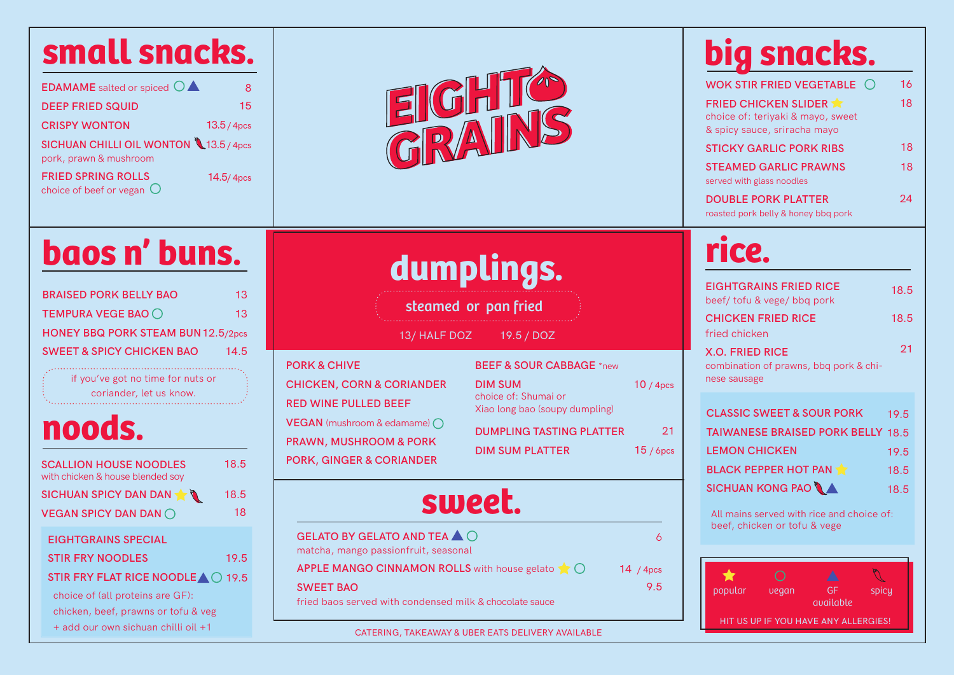| small snacks.<br><b>EDAMAME</b> salted or spiced $\bigcirc$ $\blacktriangle$<br>8<br>15<br><b>DEEP FRIED SQUID</b><br>13.5/4 <sub>pcs</sub><br><b>CRISPY WONTON</b><br>SICHUAN CHILLI OIL WONTON 13.5/4pcs<br>pork, prawn & mushroom<br><b>FRIED SPRING ROLLS</b><br>14.5/4 <sub>pcs</sub><br>choice of beef or vegan $\bigcirc$ |                                                                                                                                                                                                                                                   | EIGHTO                                                                                                                                |                                         | big snacks.<br>WOK STIR FRIED VEGETABLE O<br><b>FRIED CHICKEN SLIDER *</b><br>choice of: teriyaki & mayo, sweet<br>& spicy sauce, sriracha mayo<br><b>STICKY GARLIC PORK RIBS</b><br><b>STEAMED GARLIC PRAWNS</b><br>served with glass noodles<br><b>DOUBLE PORK PLATTER</b><br>roasted pork belly & honey bbq pork | 16<br>18<br>18<br>18<br>24 |
|----------------------------------------------------------------------------------------------------------------------------------------------------------------------------------------------------------------------------------------------------------------------------------------------------------------------------------|---------------------------------------------------------------------------------------------------------------------------------------------------------------------------------------------------------------------------------------------------|---------------------------------------------------------------------------------------------------------------------------------------|-----------------------------------------|---------------------------------------------------------------------------------------------------------------------------------------------------------------------------------------------------------------------------------------------------------------------------------------------------------------------|----------------------------|
| baos n' buns.<br><b>BRAISED PORK BELLY BAO</b><br>13<br>TEMPURA VEGE BAO O<br>13<br>HONEY BBQ PORK STEAM BUN 12.5/2pcs<br><b>SWEET &amp; SPICY CHICKEN BAO</b><br>14.5<br>if you've got no time for nuts or                                                                                                                      | 13/ HALF DOZ<br><b>PORK &amp; CHIVE</b>                                                                                                                                                                                                           | dumplings.<br>steamed or pan fried<br>19.5 / DOZ<br><b>BEEF &amp; SOUR CABBAGE *new</b>                                               |                                         | rice.<br><b>EIGHTGRAINS FRIED RICE</b><br>beef/ tofu & vege/ bbq pork<br><b>CHICKEN FRIED RICE</b><br>fried chicken<br><b>X.O. FRIED RICE</b><br>combination of prawns, bbq pork & chi-<br>nese sausage                                                                                                             | 18.5<br>18.5<br>21         |
| coriander, let us know.<br>noods.<br>18.5<br><b>SCALLION HOUSE NOODLES</b><br>with chicken & house blended soy                                                                                                                                                                                                                   | <b>CHICKEN, CORN &amp; CORIANDER</b><br><b>RED WINE PULLED BEEF</b><br><b>VEGAN</b> (mushroom & edamame) $\bigcirc$<br><b>PRAWN, MUSHROOM &amp; PORK</b><br><b>PORK, GINGER &amp; CORIANDER</b>                                                   | <b>DIM SUM</b><br>choice of: Shumai or<br>Xiao long bao (soupy dumpling)<br><b>DUMPLING TASTING PLATTER</b><br><b>DIM SUM PLATTER</b> | 10/4 <sub>pcs</sub><br>21<br>$15/6$ pcs | <b>CLASSIC SWEET &amp; SOUR PORK</b><br><b>TAIWANESE BRAISED PORK BELLY 18.5</b><br><b>LEMON CHICKEN</b><br><b>BLACK PEPPER HOT PAN</b>                                                                                                                                                                             | 19.5<br>19.5<br>18.5       |
| SICHUAN SPICY DAN DAN<br>18.5<br>18<br>VEGAN SPICY DAN DAN O                                                                                                                                                                                                                                                                     |                                                                                                                                                                                                                                                   | sweet.                                                                                                                                |                                         | SICHUAN KONG PAO<br>All mains served with rice and choice of:                                                                                                                                                                                                                                                       | 18.5                       |
| <b>EIGHTGRAINS SPECIAL</b><br>19.5<br><b>STIR FRY NOODLES</b><br>STIR FRY FLAT RICE NOODLE $\triangle$ $\bigcirc$ 19.5<br>choice of (all proteins are GF):<br>chicken, beef, prawns or tofu & veg<br>+ add our own sichuan chilli oil +1                                                                                         | <b>GELATO BY GELATO AND TEA <math>\blacktriangle</math> O</b><br>matcha, mango passionfruit, seasonal<br>APPLE MANGO CINNAMON ROLLS with house gelato $\bigcirc$ O<br><b>SWEET BAO</b><br>fried baos served with condensed milk & chocolate sauce | CATERING, TAKEAWAY & UBER EATS DELIVERY AVAILABLE                                                                                     | 6<br>14 / 4 $pcs$<br>9.5                | beef, chicken or tofu & vege<br>$\mathcal{L}$<br>$\bigcirc$<br>$\blacktriangle$<br>GF<br>spicy<br>popular<br>vegan<br>available<br>HIT US UP IF YOU HAVE ANY ALLERGIES!                                                                                                                                             |                            |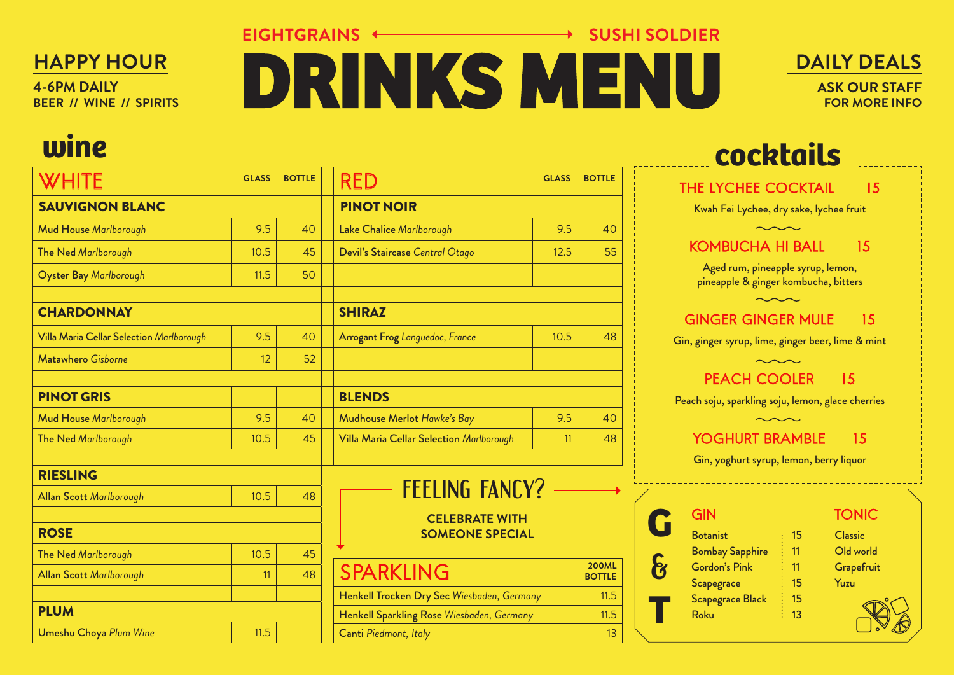**4-6PM DAILY BEER // WINE // SPIRITS**

### **wine**

| WHITE                                    | <b>GLASS</b> | <b>BOTTLE</b> | RED                                             | <b>GLASS</b> | <b>BOTTLE</b>                 |
|------------------------------------------|--------------|---------------|-------------------------------------------------|--------------|-------------------------------|
| <b>SAUVIGNON BLANC</b>                   |              |               | <b>PINOT NOIR</b>                               |              |                               |
| Mud House Marlborough                    | 9.5          | 40            | Lake Chalice Marlborough                        | 9.5          | 40                            |
| The Ned Marlborough                      | 10.5         | 45            | Devil's Staircase Central Otago                 | 12.5         | 55                            |
| <b>Oyster Bay Marlborough</b>            | 11.5         | 50            |                                                 |              |                               |
| <b>CHARDONNAY</b>                        |              |               | <b>SHIRAZ</b>                                   |              |                               |
| Villa Maria Cellar Selection Marlborough | 9.5          | 40            | Arrogant Frog Languedoc, France                 | 10.5         | 48                            |
| Matawhero Gisborne                       | 12           | 52            |                                                 |              |                               |
| <b>PINOT GRIS</b>                        |              |               | <b>BLENDS</b>                                   |              |                               |
| <b>Mud House Marlborough</b>             | 9.5          | 40            | Mudhouse Merlot Hawke's Bay                     |              | 40                            |
| The Ned Marlborough                      | 10.5         | 45            | Villa Maria Cellar Selection Marlborough        | 11           | 48                            |
| <b>RIESLING</b>                          |              |               |                                                 |              |                               |
| Allan Scott Marlborough                  | 10.5         | 48            | <b>FEELING FANCY?</b>                           |              |                               |
| <b>ROSE</b>                              |              |               | <b>CELEBRATE WITH</b><br><b>SOMEONE SPECIAL</b> |              |                               |
| The Ned Marlborough                      | 10.5         | 45            |                                                 |              |                               |
| Allan Scott Marlborough                  | 11           | 48            | <b>SPARKLING</b>                                |              | <b>200ML</b><br><b>BOTTLE</b> |
|                                          |              |               | Henkell Trocken Dry Sec Wiesbaden, Germany      |              | 11.5                          |
| <b>PLUM</b>                              |              |               | Henkell Sparkling Rose Wiesbaden, Germany       |              | 11.5                          |
| <b>Umeshu Choya Plum Wine</b>            | 11.5         |               | Canti Piedmont, Italy                           |              | 13                            |
|                                          |              |               |                                                 |              |                               |

# **HAPPY HOUR<br>4-6PM DAILY AND RINKS MENU EIGHTGRAINS + SUSHI SOLDIER**



**DAILY DEALS**

**ASK OUR STAFF FOR MORE INFO**